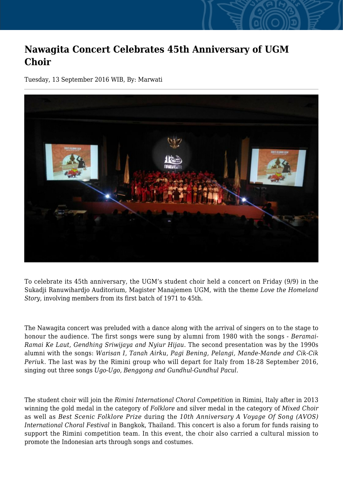## **Nawagita Concert Celebrates 45th Anniversary of UGM Choir**

Tuesday, 13 September 2016 WIB, By: Marwati



To celebrate its 45th anniversary, the UGM's student choir held a concert on Friday (9/9) in the Sukadji Ranuwihardjo Auditorium, Magister Manajemen UGM, with the theme *Love the Homeland Story*, involving members from its first batch of 1971 to 45th.

The Nawagita concert was preluded with a dance along with the arrival of singers on to the stage to honour the audience. The first songs were sung by alumni from 1980 with the songs - *Beramai-Ramai Ke Laut, Gendhing Sriwijaya and Nyiur Hijau*. The second presentation was by the 1990s alumni with the songs: *Warisan I, Tanah Airku, Pagi Bening, Pelangi, Mande-Mande and Cik-Cik Periuk*. The last was by the Rimini group who will depart for Italy from 18-28 September 2016, singing out three songs *Ugo-Ugo, Benggong and Gundhul-Gundhul Pacul.*

The student choir will join the *Rimini International Choral Competitio*n in Rimini, Italy after in 2013 winning the gold medal in the category of *Folklore* and silver medal in the category of *Mixed Choir* as well as *Best Scenic Folklore Prize* during the *10th Anniversary A Voyage Of Song (AVOS) International Choral Festival* in Bangkok, Thailand. This concert is also a forum for funds raising to support the Rimini competition team. In this event, the choir also carried a cultural mission to promote the Indonesian arts through songs and costumes.